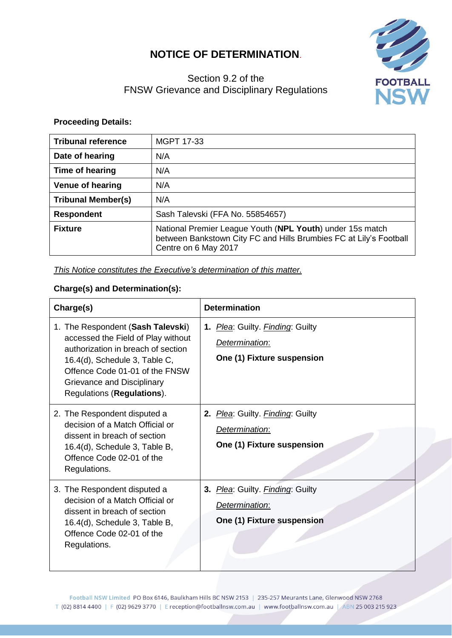# **NOTICE OF DETERMINATION**.

# **FOOTBALL**

# Section 9.2 of the FNSW Grievance and Disciplinary Regulations

## **Proceeding Details:**

| <b>Tribunal reference</b> | MGPT 17-33                                                                                                                                              |
|---------------------------|---------------------------------------------------------------------------------------------------------------------------------------------------------|
| Date of hearing           | N/A                                                                                                                                                     |
| Time of hearing           | N/A                                                                                                                                                     |
| <b>Venue of hearing</b>   | N/A                                                                                                                                                     |
| <b>Tribunal Member(s)</b> | N/A                                                                                                                                                     |
| <b>Respondent</b>         | Sash Talevski (FFA No. 55854657)                                                                                                                        |
| <b>Fixture</b>            | National Premier League Youth (NPL Youth) under 15s match<br>between Bankstown City FC and Hills Brumbies FC at Lily's Football<br>Centre on 6 May 2017 |

*This Notice constitutes the Executive's determination of this matter.*

## **Charge(s) and Determination(s):**

| Charge(s)                                                                                                                                                                                                                                    | <b>Determination</b>                                                                |
|----------------------------------------------------------------------------------------------------------------------------------------------------------------------------------------------------------------------------------------------|-------------------------------------------------------------------------------------|
| 1. The Respondent (Sash Talevski)<br>accessed the Field of Play without<br>authorization in breach of section<br>16.4(d), Schedule 3, Table C,<br>Offence Code 01-01 of the FNSW<br>Grievance and Disciplinary<br>Regulations (Regulations). | 1. Plea: Guilty. Finding: Guilty<br>Determination:<br>One (1) Fixture suspension    |
| 2. The Respondent disputed a<br>decision of a Match Official or<br>dissent in breach of section<br>16.4(d), Schedule 3, Table B,<br>Offence Code 02-01 of the<br>Regulations.                                                                | 2. Plea: Guilty. Finding: Guilty<br>Determination:<br>One (1) Fixture suspension    |
| 3. The Respondent disputed a<br>decision of a Match Official or<br>dissent in breach of section<br>16.4(d), Schedule 3, Table B,<br>Offence Code 02-01 of the<br>Regulations.                                                                | Plea: Guilty. Finding: Guilty<br>3.<br>Determination:<br>One (1) Fixture suspension |